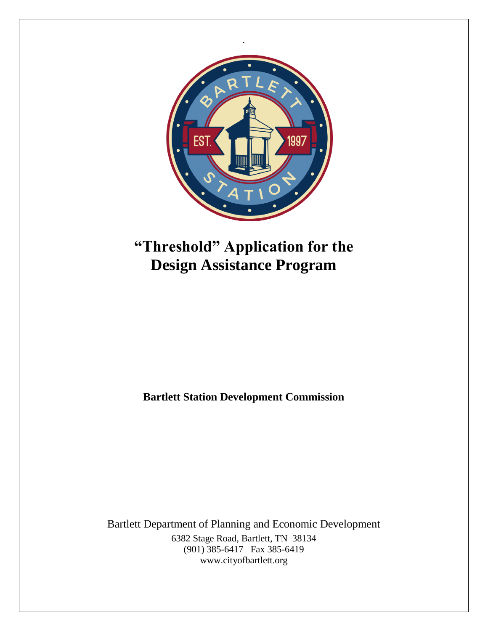

# **"Threshold" Application for the Design Assistance Program**

**Bartlett Station Development Commission**

Bartlett Department of Planning and Economic Development 6382 Stage Road, Bartlett, TN 38134 (901) 385-6417 Fax 385-6419 www.cityofbartlett.org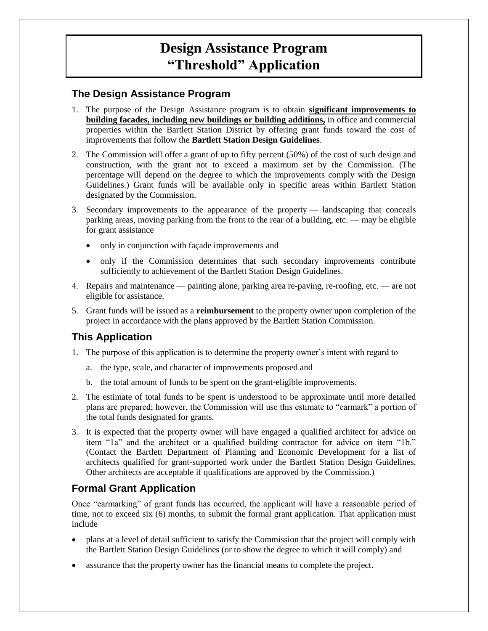## **Design Assistance Program "Threshold" Application**

#### **The Design Assistance Program**

- 1. The purpose of the Design Assistance program is to obtain **significant improvements to building facades, including new buildings or building additions,** in office and commercial properties within the Bartlett Station District by offering grant funds toward the cost of improvements that follow the **Bartlett Station Design Guidelines**.
- 2. The Commission will offer a grant of up to fifty percent (50%) of the cost of such design and construction, with the grant not to exceed a maximum set by the Commission. (The percentage will depend on the degree to which the improvements comply with the Design Guidelines.) Grant funds will be available only in specific areas within Bartlett Station designated by the Commission.
- 3. Secondary improvements to the appearance of the property landscaping that conceals parking areas, moving parking from the front to the rear of a building, etc. — may be eligible for grant assistance
	- only in conjunction with façade improvements and
	- only if the Commission determines that such secondary improvements contribute sufficiently to achievement of the Bartlett Station Design Guidelines.
- 4. Repairs and maintenance painting alone, parking area re-paving, re-roofing, etc. are not eligible for assistance.
- 5. Grant funds will be issued as a **reimbursement** to the property owner upon completion of the project in accordance with the plans approved by the Bartlett Station Commission.

#### **This Application**

- 1. The purpose of this application is to determine the property owner's intent with regard to
	- a. the type, scale, and character of improvements proposed and
	- b. the total amount of funds to be spent on the grant-eligible improvements.
- 2. The estimate of total funds to be spent is understood to be approximate until more detailed plans are prepared; however, the Commission will use this estimate to "earmark" a portion of the total funds designated for grants.
- 3. It is expected that the property owner will have engaged a qualified architect for advice on item "1a" and the architect or a qualified building contractor for advice on item "1b." (Contact the Bartlett Department of Planning and Economic Development for a list of architects qualified for grant-supported work under the Bartlett Station Design Guidelines. Other architects are acceptable if qualifications are approved by the Commission.)

#### **Formal Grant Application**

Once "earmarking" of grant funds has occurred, the applicant will have a reasonable period of time, not to exceed six (6) months, to submit the formal grant application. That application must include

- plans at a level of detail sufficient to satisfy the Commission that the project will comply with the Bartlett Station Design Guidelines (or to show the degree to which it will comply) and
- assurance that the property owner has the financial means to complete the project.